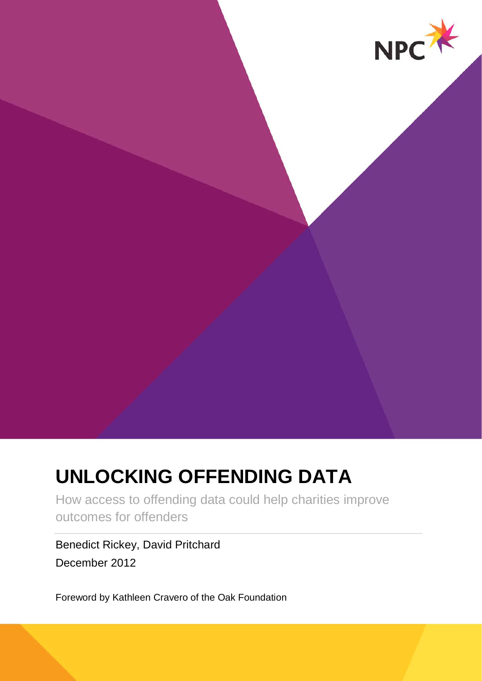

# **UNLOCKING OFFENDING DATA**

How access to offending data could help charities improve outcomes for offenders

Benedict Rickey, David Pritchard December 2012

Foreword by Kathleen Cravero of the Oak Foundation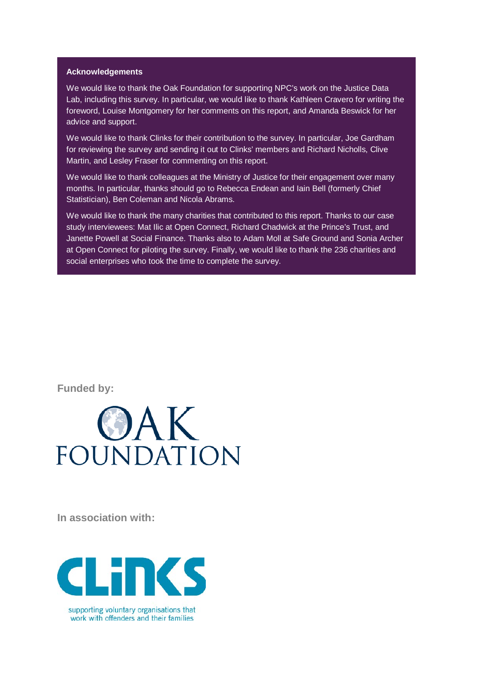#### **Acknowledgements**

We would like to thank the Oak Foundation for supporting NPC's work on the Justice Data Lab, including this survey. In particular, we would like to thank Kathleen Cravero for writing the foreword, Louise Montgomery for her comments on this report, and Amanda Beswick for her advice and support.

We would like to thank Clinks for their contribution to the survey. In particular, Joe Gardham for reviewing the survey and sending it out to Clinks' members and Richard Nicholls, Clive Martin, and Lesley Fraser for commenting on this report.

We would like to thank colleagues at the Ministry of Justice for their engagement over many months. In particular, thanks should go to Rebecca Endean and Iain Bell (formerly Chief Statistician), Ben Coleman and Nicola Abrams.

We would like to thank the many charities that contributed to this report. Thanks to our case study interviewees: Mat Ilic at Open Connect, Richard Chadwick at the Prince's Trust, and Janette Powell at Social Finance. Thanks also to Adam Moll at Safe Ground and Sonia Archer at Open Connect for piloting the survey. Finally, we would like to thank the 236 charities and social enterprises who took the time to complete the survey.

**Funded by:** 



**In association with:** 



supporting voluntary organisations that work with offenders and their families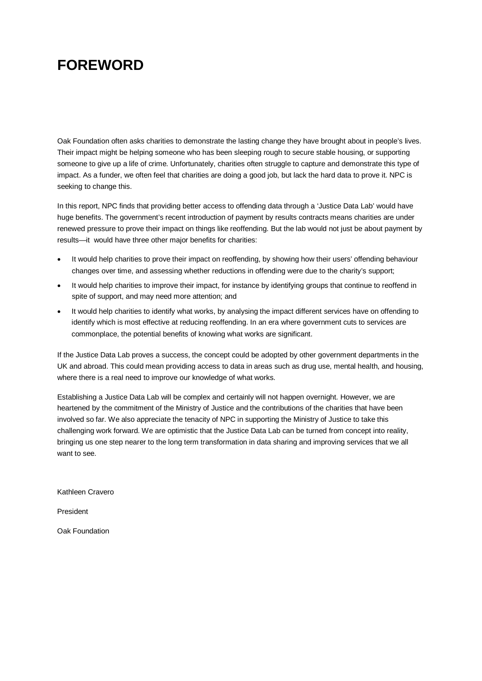# **FOREWORD**

Oak Foundation often asks charities to demonstrate the lasting change they have brought about in people's lives. Their impact might be helping someone who has been sleeping rough to secure stable housing, or supporting someone to give up a life of crime. Unfortunately, charities often struggle to capture and demonstrate this type of impact. As a funder, we often feel that charities are doing a good job, but lack the hard data to prove it. NPC is seeking to change this.

In this report, NPC finds that providing better access to offending data through a 'Justice Data Lab' would have huge benefits. The government's recent introduction of payment by results contracts means charities are under renewed pressure to prove their impact on things like reoffending. But the lab would not just be about payment by results—it would have three other major benefits for charities:

- It would help charities to prove their impact on reoffending, by showing how their users' offending behaviour changes over time, and assessing whether reductions in offending were due to the charity's support;
- It would help charities to improve their impact, for instance by identifying groups that continue to reoffend in spite of support, and may need more attention; and
- It would help charities to identify what works, by analysing the impact different services have on offending to identify which is most effective at reducing reoffending. In an era where government cuts to services are commonplace, the potential benefits of knowing what works are significant.

If the Justice Data Lab proves a success, the concept could be adopted by other government departments in the UK and abroad. This could mean providing access to data in areas such as drug use, mental health, and housing, where there is a real need to improve our knowledge of what works.

Establishing a Justice Data Lab will be complex and certainly will not happen overnight. However, we are heartened by the commitment of the Ministry of Justice and the contributions of the charities that have been involved so far. We also appreciate the tenacity of NPC in supporting the Ministry of Justice to take this challenging work forward. We are optimistic that the Justice Data Lab can be turned from concept into reality, bringing us one step nearer to the long term transformation in data sharing and improving services that we all want to see.

Kathleen Cravero

President

Oak Foundation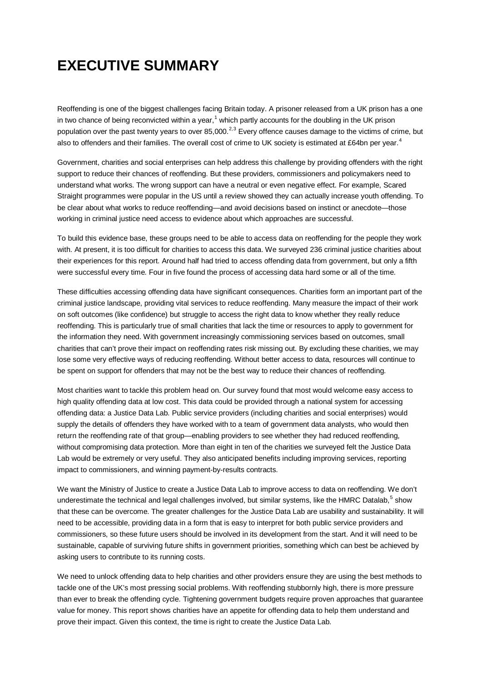# **EXECUTIVE SUMMARY**

Reoffending is one of the biggest challenges facing Britain today. A prisoner released from a UK prison has a one in two chance of being reconvicted within a year,<sup>[1](#page-32-0)</sup> which partly accounts for the doubling in the UK prison population over the past twenty years to over 85,000.<sup>[2](#page-32-1),[3](#page-32-2)</sup> Every offence causes damage to the victims of crime, but also to offenders and their families. The overall cost of crime to UK society is estimated at £6[4](#page-32-3)bn per year.<sup>4</sup>

Government, charities and social enterprises can help address this challenge by providing offenders with the right support to reduce their chances of reoffending. But these providers, commissioners and policymakers need to understand what works. The wrong support can have a neutral or even negative effect. For example, Scared Straight programmes were popular in the US until a review showed they can actually increase youth offending. To be clear about what works to reduce reoffending—and avoid decisions based on instinct or anecdote—those working in criminal justice need access to evidence about which approaches are successful.

To build this evidence base, these groups need to be able to access data on reoffending for the people they work with. At present, it is too difficult for charities to access this data. We surveyed 236 criminal justice charities about their experiences for this report. Around half had tried to access offending data from government, but only a fifth were successful every time. Four in five found the process of accessing data hard some or all of the time.

These difficulties accessing offending data have significant consequences. Charities form an important part of the criminal justice landscape, providing vital services to reduce reoffending. Many measure the impact of their work on soft outcomes (like confidence) but struggle to access the right data to know whether they really reduce reoffending. This is particularly true of small charities that lack the time or resources to apply to government for the information they need. With government increasingly commissioning services based on outcomes, small charities that can't prove their impact on reoffending rates risk missing out. By excluding these charities, we may lose some very effective ways of reducing reoffending. Without better access to data, resources will continue to be spent on support for offenders that may not be the best way to reduce their chances of reoffending.

Most charities want to tackle this problem head on. Our survey found that most would welcome easy access to high quality offending data at low cost. This data could be provided through a national system for accessing offending data: a Justice Data Lab. Public service providers (including charities and social enterprises) would supply the details of offenders they have worked with to a team of government data analysts, who would then return the reoffending rate of that group—enabling providers to see whether they had reduced reoffending, without compromising data protection. More than eight in ten of the charities we surveyed felt the Justice Data Lab would be extremely or very useful. They also anticipated benefits including improving services, reporting impact to commissioners, and winning payment-by-results contracts.

We want the Ministry of Justice to create a Justice Data Lab to improve access to data on reoffending. We don't underestimate the technical and legal challenges involved, but similar systems, like the HMRC Datalab,<sup>[5](#page-32-4)</sup> show that these can be overcome. The greater challenges for the Justice Data Lab are usability and sustainability. It will need to be accessible, providing data in a form that is easy to interpret for both public service providers and commissioners, so these future users should be involved in its development from the start. And it will need to be sustainable, capable of surviving future shifts in government priorities, something which can best be achieved by asking users to contribute to its running costs.

We need to unlock offending data to help charities and other providers ensure they are using the best methods to tackle one of the UK's most pressing social problems. With reoffending stubbornly high, there is more pressure than ever to break the offending cycle. Tightening government budgets require proven approaches that guarantee value for money. This report shows charities have an appetite for offending data to help them understand and prove their impact. Given this context, the time is right to create the Justice Data Lab.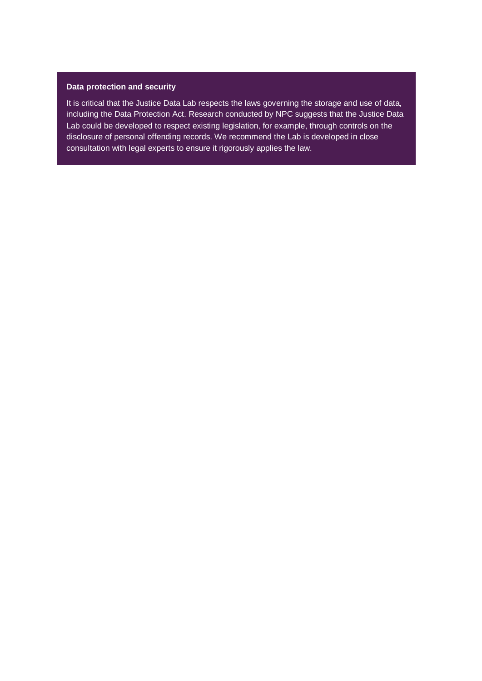#### **Data protection and security**

It is critical that the Justice Data Lab respects the laws governing the storage and use of data, including the Data Protection Act. Research conducted by NPC suggests that the Justice Data Lab could be developed to respect existing legislation, for example, through controls on the disclosure of personal offending records. We recommend the Lab is developed in close consultation with legal experts to ensure it rigorously applies the law.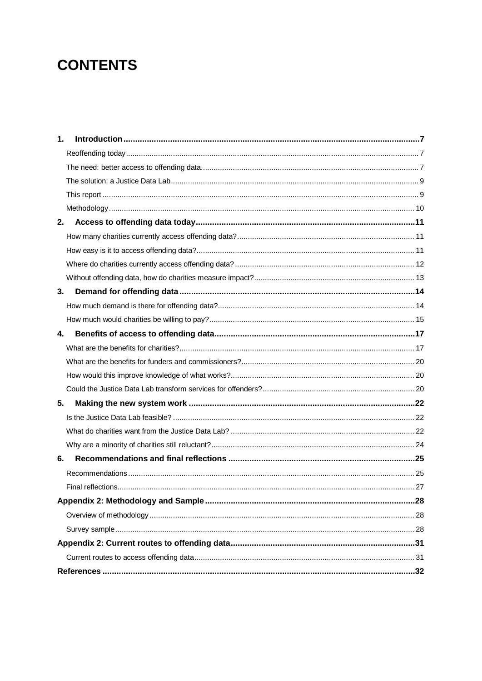# **CONTENTS**

| 1. |  |
|----|--|
|    |  |
|    |  |
|    |  |
|    |  |
|    |  |
| 2. |  |
|    |  |
|    |  |
|    |  |
|    |  |
| 3. |  |
|    |  |
|    |  |
| 4. |  |
|    |  |
|    |  |
|    |  |
|    |  |
| 5. |  |
|    |  |
|    |  |
|    |  |
| 6. |  |
|    |  |
|    |  |
|    |  |
|    |  |
|    |  |
|    |  |
|    |  |
|    |  |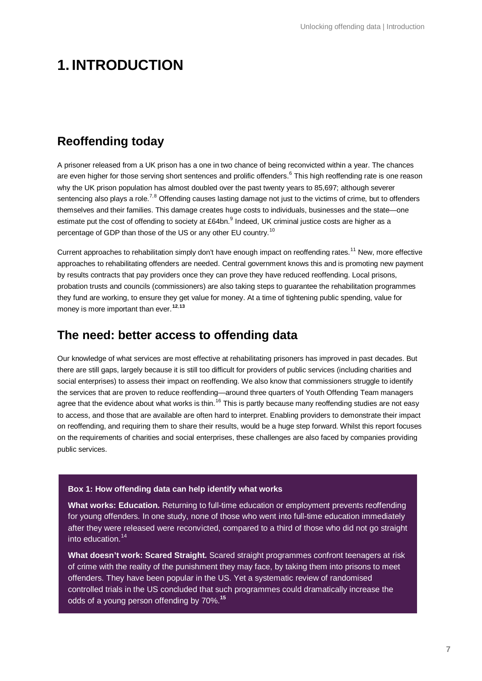# **1. INTRODUCTION**

### **Reoffending today**

A prisoner released from a UK prison has a one in two chance of being reconvicted within a year. The chances are even higher for those serving short sentences and prolific offenders.<sup>[6](#page-32-5)</sup> This high reoffending rate is one reason why the UK prison population has almost doubled over the past twenty years to 85,697; although severer sentencing also plays a role.<sup>[7](#page-32-6),[8](#page-32-7)</sup> Offending causes lasting damage not just to the victims of crime, but to offenders themselves and their families. This damage creates huge costs to individuals, businesses and the state—one estimate put the cost of offending to society at £64bn.<sup>[9](#page-32-8)</sup> Indeed, UK criminal justice costs are higher as a percentage of GDP than those of the US or any other EU country.<sup>[10](#page-32-9)</sup>

Current approaches to rehabilitation simply don't have enough impact on reoffending rates.<sup>[11](#page-32-10)</sup> New, more effective approaches to rehabilitating offenders are needed. Central government knows this and is promoting new payment by results contracts that pay providers once they can prove they have reduced reoffending. Local prisons, probation trusts and councils (commissioners) are also taking steps to guarantee the rehabilitation programmes they fund are working, to ensure they get value for money. At a time of tightening public spending, value for money is more important than ever. **[12](#page-32-11)**,**[13](#page-32-12)**

### **The need: better access to offending data**

Our knowledge of what services are most effective at rehabilitating prisoners has improved in past decades. But there are still gaps, largely because it is still too difficult for providers of public services (including charities and social enterprises) to assess their impact on reoffending. We also know that commissioners struggle to identify the services that are proven to reduce reoffending—around three quarters of Youth Offending Team managers agree that the evidence about what works is thin.<sup>[16](#page-32-13)</sup> This is partly because many reoffending studies are not easy to access, and those that are available are often hard to interpret. Enabling providers to demonstrate their impact on reoffending, and requiring them to share their results, would be a huge step forward. Whilst this report focuses on the requirements of charities and social enterprises, these challenges are also faced by companies providing public services.

#### **Box 1: How offending data can help identify what works**

**What works: Education.** Returning to full-time education or employment prevents reoffending for young offenders. In one study, none of those who went into full-time education immediately after they were released were reconvicted, compared to a third of those who did not go straight  $into$  education.<sup>[14](#page-32-14)</sup>

**What doesn't work: Scared Straight.** Scared straight programmes confront teenagers at risk of crime with the reality of the punishment they may face, by taking them into prisons to meet offenders. They have been popular in the US. Yet a systematic review of randomised controlled trials in the US concluded that such programmes could dramatically increase the odds of a young person offending by 70%.**[15](#page-32-15)**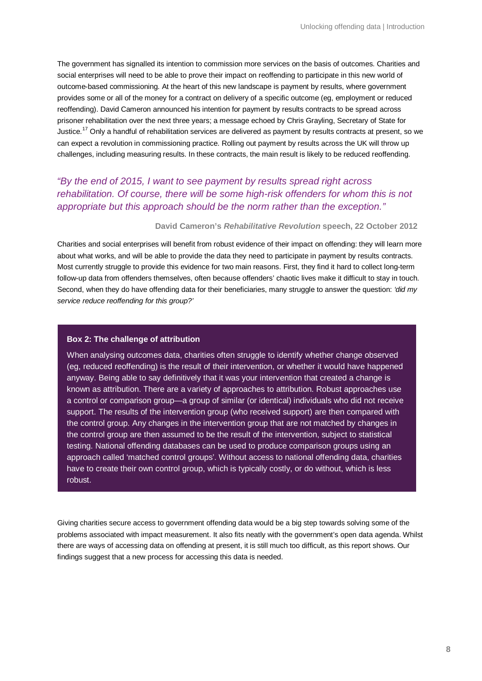The government has signalled its intention to commission more services on the basis of outcomes. Charities and social enterprises will need to be able to prove their impact on reoffending to participate in this new world of outcome-based commissioning. At the heart of this new landscape is payment by results, where government provides some or all of the money for a contract on delivery of a specific outcome (eg, employment or reduced reoffending). David Cameron announced his intention for payment by results contracts to be spread across prisoner rehabilitation over the next three years; a message echoed by Chris Grayling, Secretary of State for Justice.<sup>[17](#page-32-16)</sup> Only a handful of rehabilitation services are delivered as payment by results contracts at present, so we can expect a revolution in commissioning practice. Rolling out payment by results across the UK will throw up challenges, including measuring results. In these contracts, the main result is likely to be reduced reoffending.

### *"By the end of 2015, I want to see payment by results spread right across rehabilitation. Of course, there will be some high-risk offenders for whom this is not appropriate but this approach should be the norm rather than the exception."*

#### **David Cameron's** *Rehabilitative Revolution* **speech, 22 October 2012**

Charities and social enterprises will benefit from robust evidence of their impact on offending: they will learn more about what works, and will be able to provide the data they need to participate in payment by results contracts. Most currently struggle to provide this evidence for two main reasons. First, they find it hard to collect long-term follow-up data from offenders themselves, often because offenders' chaotic lives make it difficult to stay in touch. Second, when they do have offending data for their beneficiaries, many struggle to answer the question: *'did my service reduce reoffending for this group?'*

#### **Box 2: The challenge of attribution**

When analysing outcomes data, charities often struggle to identify whether change observed (eg, reduced reoffending) is the result of their intervention, or whether it would have happened anyway. Being able to say definitively that it was your intervention that created a change is known as attribution. There are a variety of approaches to attribution. Robust approaches use a control or comparison group—a group of similar (or identical) individuals who did not receive support. The results of the intervention group (who received support) are then compared with the control group. Any changes in the intervention group that are not matched by changes in the control group are then assumed to be the result of the intervention, subject to statistical testing. National offending databases can be used to produce comparison groups using an approach called 'matched control groups'. Without access to national offending data, charities have to create their own control group, which is typically costly, or do without, which is less robust.

Giving charities secure access to government offending data would be a big step towards solving some of the problems associated with impact measurement. It also fits neatly with the government's open data agenda. Whilst there are ways of accessing data on offending at present, it is still much too difficult, as this report shows. Our findings suggest that a new process for accessing this data is needed.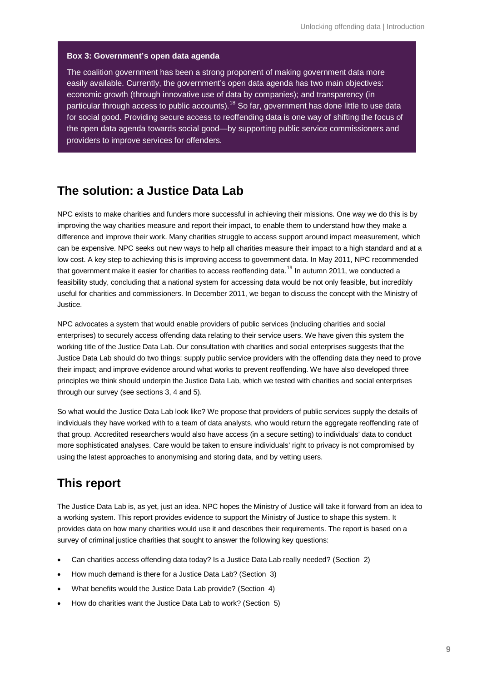#### **Box 3: Government's open data agenda**

The coalition government has been a strong proponent of making government data more easily available. Currently, the government's open data agenda has two main objectives: economic growth (through innovative use of data by companies); and transparency (in particular through access to public accounts).<sup>[18](#page-32-18)</sup> So far, government has done little to use data for social good. Providing secure access to reoffending data is one way of shifting the focus of the open data agenda towards social good—by supporting public service commissioners and providers to improve services for offenders.

### **The solution: a Justice Data Lab**

NPC exists to make charities and funders more successful in achieving their missions. One way we do this is by improving the way charities measure and report their impact, to enable them to understand how they make a difference and improve their work. Many charities struggle to access support around impact measurement, which can be expensive. NPC seeks out new ways to help all charities measure their impact to a high standard and at a low cost. A key step to achieving this is improving access to government data. In May 2011, NPC recommended that government make it easier for charities to access reoffending data.<sup>[19](#page-32-17)</sup> In autumn 2011, we conducted a feasibility study, concluding that a national system for accessing data would be not only feasible, but incredibly useful for charities and commissioners. In December 2011, we began to discuss the concept with the Ministry of Justice.

NPC advocates a system that would enable providers of public services (including charities and social enterprises) to securely access offending data relating to their service users. We have given this system the working title of the Justice Data Lab. Our consultation with charities and social enterprises suggests that the Justice Data Lab should do two things: supply public service providers with the offending data they need to prove their impact; and improve evidence around what works to prevent reoffending. We have also developed three principles we think should underpin the Justice Data Lab, which we tested with charities and social enterprises through our survey (see sections 3, 4 and 5).

So what would the Justice Data Lab look like? We propose that providers of public services supply the details of individuals they have worked with to a team of data analysts, who would return the aggregate reoffending rate of that group. Accredited researchers would also have access (in a secure setting) to individuals' data to conduct more sophisticated analyses. Care would be taken to ensure individuals' right to privacy is not compromised by using the latest approaches to anonymising and storing data, and by vetting users.

### **This report**

The Justice Data Lab is, as yet, just an idea. NPC hopes the Ministry of Justice will take it forward from an idea to a working system. This report provides evidence to support the Ministry of Justice to shape this system. It provides data on how many charities would use it and describes their requirements. The report is based on a survey of criminal justice charities that sought to answer the following key questions:

- Can charities access offending data today? Is a Justice Data Lab really needed? (Section 2)
- How much demand is there for a Justice Data Lab? (Section 3)
- What benefits would the Justice Data Lab provide? (Section 4)
- How do charities want the Justice Data Lab to work? (Section 5)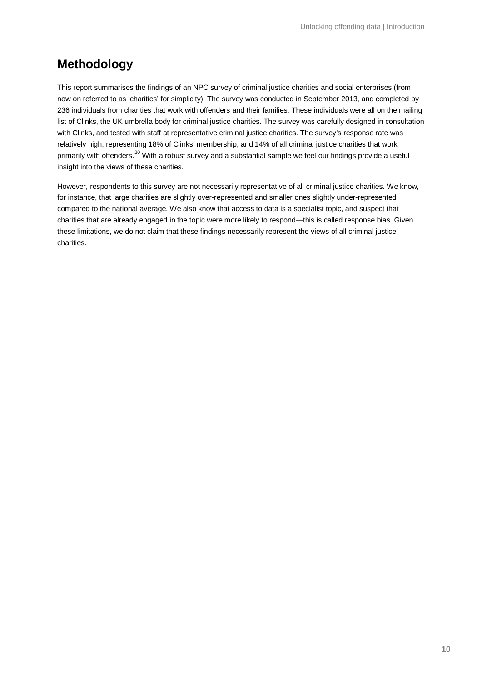### **Methodology**

This report summarises the findings of an NPC survey of criminal justice charities and social enterprises (from now on referred to as 'charities' for simplicity). The survey was conducted in September 2013, and completed by 236 individuals from charities that work with offenders and their families. These individuals were all on the mailing list of Clinks, the UK umbrella body for criminal justice charities. The survey was carefully designed in consultation with Clinks, and tested with staff at representative criminal justice charities. The survey's response rate was relatively high, representing 18% of Clinks' membership, and 14% of all criminal justice charities that work primarily with offenders.<sup>[20](#page-32-19)</sup> With a robust survey and a substantial sample we feel our findings provide a useful insight into the views of these charities.

However, respondents to this survey are not necessarily representative of all criminal justice charities. We know, for instance, that large charities are slightly over-represented and smaller ones slightly under-represented compared to the national average. We also know that access to data is a specialist topic, and suspect that charities that are already engaged in the topic were more likely to respond—this is called response bias. Given these limitations, we do not claim that these findings necessarily represent the views of all criminal justice charities.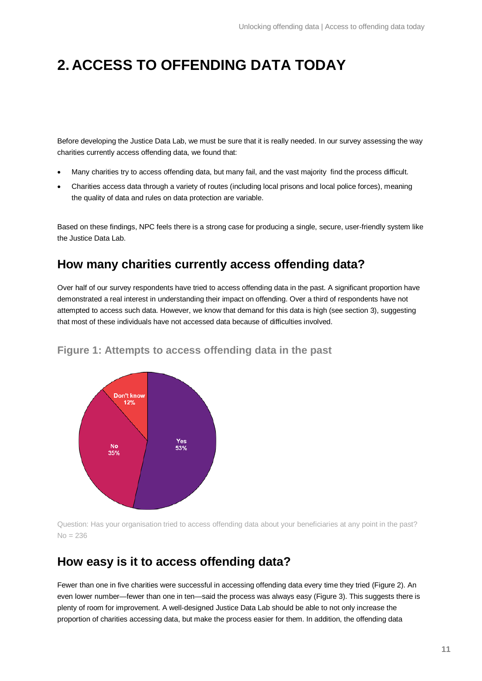# **2. ACCESS TO OFFENDING DATA TODAY**

Before developing the Justice Data Lab, we must be sure that it is really needed. In our survey assessing the way charities currently access offending data, we found that:

- Many charities try to access offending data, but many fail, and the vast majority find the process difficult.
- Charities access data through a variety of routes (including local prisons and local police forces), meaning the quality of data and rules on data protection are variable.

Based on these findings, NPC feels there is a strong case for producing a single, secure, user-friendly system like the Justice Data Lab.

### **How many charities currently access offending data?**

Over half of our survey respondents have tried to access offending data in the past. A significant proportion have demonstrated a real interest in understanding their impact on offending. Over a third of respondents have not attempted to access such data. However, we know that demand for this data is high (see section 3), suggesting that most of these individuals have not accessed data because of difficulties involved.



**Figure 1: Attempts to access offending data in the past**

Question: Has your organisation tried to access offending data about your beneficiaries at any point in the past?  $No = 236$ 

### **How easy is it to access offending data?**

Fewer than one in five charities were successful in accessing offending data every time they tried [\(Figure 2\)](#page-11-0). An even lower number—fewer than one in ten—said the process was always easy [\(Figure 3\)](#page-11-1). This suggests there is plenty of room for improvement. A well-designed Justice Data Lab should be able to not only increase the proportion of charities accessing data, but make the process easier for them. In addition, the offending data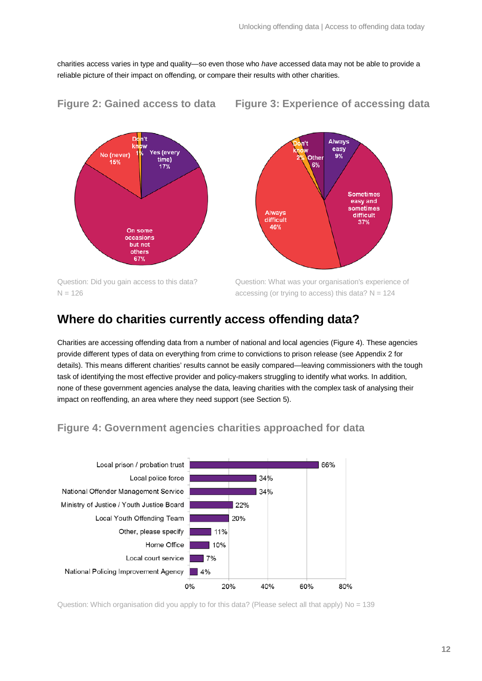charities access varies in type and quality—so even those who *have* accessed data may not be able to provide a reliable picture of their impact on offending, or compare their results with other charities.



### <span id="page-11-0"></span>**Figure 2: Gained access to data Figure 3: Experience of accessing data**

<span id="page-11-1"></span>

Question: Did you gain access to this data?  $N = 126$ 

Question: What was your organisation's experience of accessing (or trying to access) this data?  $N = 124$ 

### **Where do charities currently access offending data?**

Charities are accessing offending data from a number of national and local agencies [\(Figure 4\)](#page-11-2). These agencies provide different types of data on everything from crime to convictions to prison release (see Appendix 2 for details). This means different charities' results cannot be easily compared—leaving commissioners with the tough task of identifying the most effective provider and policy-makers struggling to identify what works. In addition, none of these government agencies analyse the data, leaving charities with the complex task of analysing their impact on reoffending, an area where they need support (see Section 5).

### <span id="page-11-2"></span>**Figure 4: Government agencies charities approached for data**



Question: Which organisation did you apply to for this data? (Please select all that apply) No = 139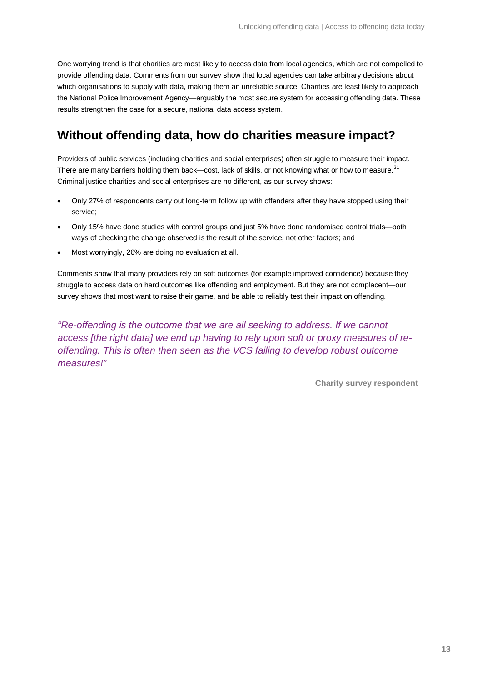One worrying trend is that charities are most likely to access data from local agencies, which are not compelled to provide offending data. Comments from our survey show that local agencies can take arbitrary decisions about which organisations to supply with data, making them an unreliable source. Charities are least likely to approach the National Police Improvement Agency—arguably the most secure system for accessing offending data. These results strengthen the case for a secure, national data access system.

### **Without offending data, how do charities measure impact?**

Providers of public services (including charities and social enterprises) often struggle to measure their impact. There are many barriers holding them back—cost, lack of skills, or not knowing what or how to measure.<sup>[21](#page-32-20)</sup> Criminal justice charities and social enterprises are no different, as our survey shows:

- Only 27% of respondents carry out long-term follow up with offenders after they have stopped using their service;
- Only 15% have done studies with control groups and just 5% have done randomised control trials—both ways of checking the change observed is the result of the service, not other factors; and
- Most worryingly, 26% are doing no evaluation at all.

Comments show that many providers rely on soft outcomes (for example improved confidence) because they struggle to access data on hard outcomes like offending and employment. But they are not complacent—our survey shows that most want to raise their game, and be able to reliably test their impact on offending.

*"Re-offending is the outcome that we are all seeking to address. If we cannot access [the right data] we end up having to rely upon soft or proxy measures of reoffending. This is often then seen as the VCS failing to develop robust outcome measures!"*

**Charity survey respondent**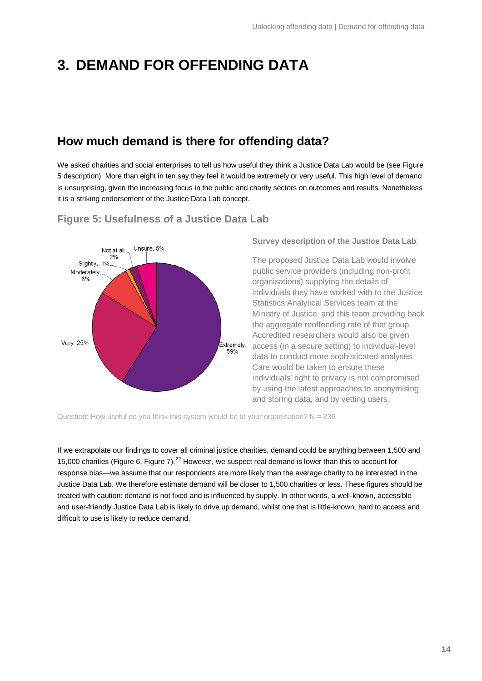# **3. DEMAND FOR OFFENDING DATA**

### **How much demand is there for offending data?**

We asked charities and social enterprises to tell us how useful they think a Justice Data Lab would be (see Figure 5 description). More than eight in ten say they feel it would be extremely or very useful. This high level of demand is unsurprising, given the increasing focus in the public and charity sectors on outcomes and results. Nonetheless it is a striking endorsement of the Justice Data Lab concept.



### **Figure 5: Usefulness of a Justice Data Lab**

**Survey description of the Justice Data Lab**:

The proposed Justice Data Lab would involve public service providers (including non-profit organisations) supplying the details of individuals they have worked with to the Justice Statistics Analytical Services team at the Ministry of Justice, and this team providing back the aggregate reoffending rate of that group. Accredited researchers would also be given access (in a secure setting) to individual-level data to conduct more sophisticated analyses. Care would be taken to ensure these individuals' right to privacy is not compromised by using the latest approaches to anonymising and storing data, and by vetting users.

Question: How useful do you think this system would be to your organisation?  $N = 236$ 

If we extrapolate our findings to cover all criminal justice charities, demand could be anything between 1,500 and 15,000 charities [\(Figure 6,](#page-14-0) [Figure 7\)](#page-14-1).<sup>[22](#page-32-21)</sup> However, we suspect real demand is lower than this to account for response bias—we assume that our respondents are more likely than the average charity to be interested in the Justice Data Lab. We therefore estimate demand will be closer to 1,500 charities or less. These figures should be treated with caution: demand is not fixed and is influenced by supply. In other words, a well-known, accessible and user-friendly Justice Data Lab is likely to drive up demand, whilst one that is little-known, hard to access and difficult to use is likely to reduce demand.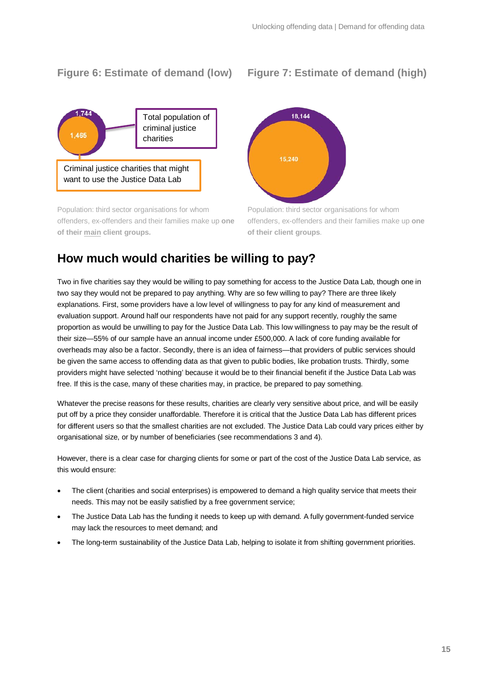### <span id="page-14-0"></span>**Figure 6: Estimate of demand (low) Figure 7: Estimate of demand (high)**



Population: third sector organisations for whom offenders, ex-offenders and their families make up **one of their main client groups.**

<span id="page-14-1"></span>

Population: third sector organisations for whom offenders, ex-offenders and their families make up **one of their client groups**.

### **How much would charities be willing to pay?**

Two in five charities say they would be willing to pay something for access to the Justice Data Lab, though one in two say they would not be prepared to pay anything. Why are so few willing to pay? There are three likely explanations. First, some providers have a low level of willingness to pay for any kind of measurement and evaluation support. Around half our respondents have not paid for any support recently, roughly the same proportion as would be unwilling to pay for the Justice Data Lab. This low willingness to pay may be the result of their size—55% of our sample have an annual income under £500,000. A lack of core funding available for overheads may also be a factor. Secondly, there is an idea of fairness—that providers of public services should be given the same access to offending data as that given to public bodies, like probation trusts. Thirdly, some providers might have selected 'nothing' because it would be to their financial benefit if the Justice Data Lab was free. If this is the case, many of these charities may, in practice, be prepared to pay something.

Whatever the precise reasons for these results, charities are clearly very sensitive about price, and will be easily put off by a price they consider unaffordable. Therefore it is critical that the Justice Data Lab has different prices for different users so that the smallest charities are not excluded. The Justice Data Lab could vary prices either by organisational size, or by number of beneficiaries (see recommendations 3 and 4).

However, there is a clear case for charging clients for some or part of the cost of the Justice Data Lab service, as this would ensure:

- The client (charities and social enterprises) is empowered to demand a high quality service that meets their needs. This may not be easily satisfied by a free government service;
- The Justice Data Lab has the funding it needs to keep up with demand. A fully government-funded service may lack the resources to meet demand; and
- The long-term sustainability of the Justice Data Lab, helping to isolate it from shifting government priorities.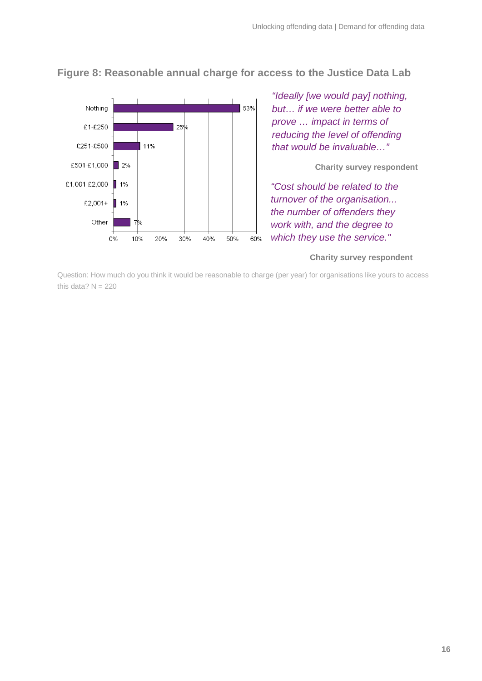

**Figure 8: Reasonable annual charge for access to the Justice Data Lab**

*"Ideally [we would pay] nothing, but… if we were better able to prove … impact in terms of reducing the level of offending that would be invaluable…"*

#### **Charity survey respondent**

*"Cost should be related to the turnover of the organisation... the number of offenders they work with, and the degree to which they use the service."*

#### **Charity survey respondent**

Question: How much do you think it would be reasonable to charge (per year) for organisations like yours to access this data?  $N = 220$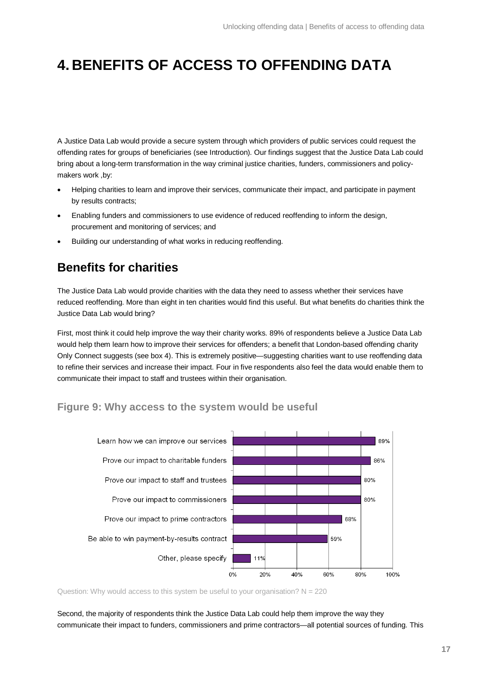# **4. BENEFITS OF ACCESS TO OFFENDING DATA**

A Justice Data Lab would provide a secure system through which providers of public services could request the offending rates for groups of beneficiaries (see Introduction). Our findings suggest that the Justice Data Lab could bring about a long-term transformation in the way criminal justice charities, funders, commissioners and policymakers work, by:

- Helping charities to learn and improve their services, communicate their impact, and participate in payment by results contracts;
- Enabling funders and commissioners to use evidence of reduced reoffending to inform the design, procurement and monitoring of services; and
- Building our understanding of what works in reducing reoffending.

### **Benefits for charities**

The Justice Data Lab would provide charities with the data they need to assess whether their services have reduced reoffending. More than eight in ten charities would find this useful. But what benefits do charities think the Justice Data Lab would bring?

First, most think it could help improve the way their charity works. 89% of respondents believe a Justice Data Lab would help them learn how to improve their services for offenders; a benefit that London-based offending charity Only Connect suggests (see box 4). This is extremely positive—suggesting charities want to use reoffending data to refine their services and increase their impact. Four in five respondents also feel the data would enable them to communicate their impact to staff and trustees within their organisation.

### **Figure 9: Why access to the system would be useful**



Question: Why would access to this system be useful to your organisation?  $N = 220$ 

Second, the majority of respondents think the Justice Data Lab could help them improve the way they communicate their impact to funders, commissioners and prime contractors—all potential sources of funding. This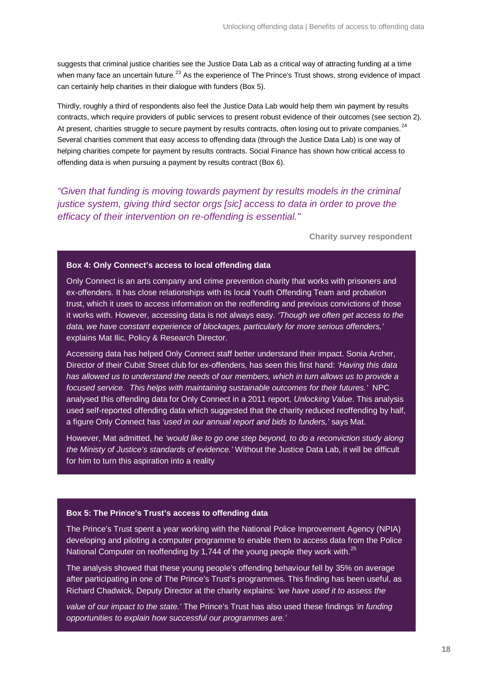suggests that criminal justice charities see the Justice Data Lab as a critical way of attracting funding at a time when many face an uncertain future.<sup>[23](#page-32-22)</sup> As the experience of The Prince's Trust shows, strong evidence of impact can certainly help charities in their dialogue with funders (Box 5).

Thirdly, roughly a third of respondents also feel the Justice Data Lab would help them win payment by results contracts, which require providers of public services to present robust evidence of their outcomes (see section 2). At present, charities struggle to secure payment by results contracts, often losing out to private companies.<sup>[24](#page-32-23)</sup> Several charities comment that easy access to offending data (through the Justice Data Lab) is one way of helping charities compete for payment by results contracts. Social Finance has shown how critical access to offending data is when pursuing a payment by results contract (Box 6).

*"Given that funding is moving towards payment by results models in the criminal justice system, giving third sector orgs [sic] access to data in order to prove the efficacy of their intervention on re-offending is essential."*

**Charity survey respondent**

#### **Box 4: Only Connect's access to local offending data**

Only Connect is an arts company and crime prevention charity that works with prisoners and ex-offenders. It has close relationships with its local Youth Offending Team and probation trust, which it uses to access information on the reoffending and previous convictions of those it works with. However, accessing data is not always easy. *'Though we often get access to the data, we have constant experience of blockages, particularly for more serious offenders,'* explains Mat Ilic, Policy & Research Director.

Accessing data has helped Only Connect staff better understand their impact. Sonia Archer, Director of their Cubitt Street club for ex-offenders, has seen this first hand: *'Having this data has allowed us to understand the needs of our members, which in turn allows us to provide a focused service. This helps with maintaining sustainable outcomes for their futures.'* NPC analysed this offending data for Only Connect in a 2011 report, *Unlocking Value*. This analysis used self-reported offending data which suggested that the charity reduced reoffending by half, a figure Only Connect has *'used in our annual report and bids to funders,'* says Mat.

However, Mat admitted, he *'would like to go one step beyond, to do a reconviction study along the Ministy of Justice's standards of evidence.'* Without the Justice Data Lab, it will be difficult for him to turn this aspiration into a reality

#### **Box 5: The Prince's Trust's access to offending data**

The Prince's Trust spent a year working with the National Police Improvement Agency (NPIA) developing and piloting a computer programme to enable them to access data from the Police National Computer on reoffending by 1,744 of the young people they work with.<sup>[25](#page-32-24)</sup>

The analysis showed that these young people's offending behaviour fell by 35% on average after participating in one of The Prince's Trust's programmes. This finding has been useful, as Richard Chadwick, Deputy Director at the charity explains: *'we have used it to assess the* 

*value of our impact to the state.'* The Prince's Trust has also used these findings *'in funding opportunities to explain how successful our programmes are.'*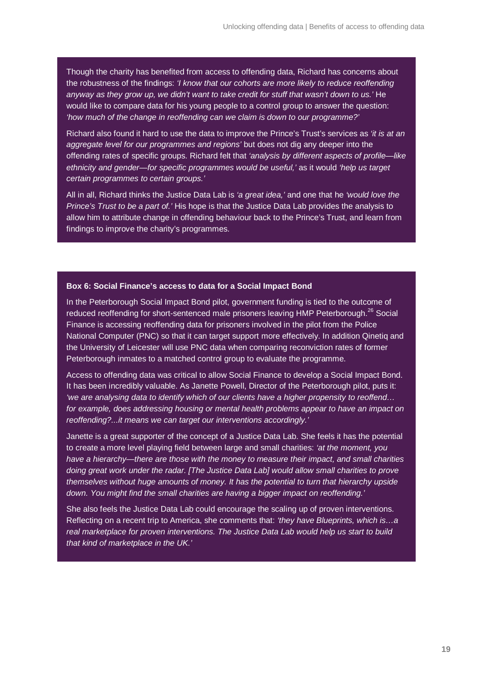Though the charity has benefited from access to offending data, Richard has concerns about the robustness of the findings: *'I know that our cohorts are more likely to reduce reoffending anyway as they grow up, we didn't want to take credit for stuff that wasn't down to us.'* He would like to compare data for his young people to a control group to answer the question: *'how much of the change in reoffending can we claim is down to our programme?'*

Richard also found it hard to use the data to improve the Prince's Trust's services as *'it is at an aggregate level for our programmes and regions'* but does not dig any deeper into the offending rates of specific groups. Richard felt that *'analysis by different aspects of profile—like ethnicity and gender—for specific programmes would be useful,'* as it would *'help us target certain programmes to certain groups.'*

All in all, Richard thinks the Justice Data Lab is *'a great idea,'* and one that he *'would love the Prince's Trust to be a part of.'* His hope is that the Justice Data Lab provides the analysis to allow him to attribute change in offending behaviour back to the Prince's Trust, and learn from findings to improve the charity's programmes.

#### **Box 6: Social Finance's access to data for a Social Impact Bond**

In the Peterborough Social Impact Bond pilot, government funding is tied to the outcome of reduced reoffending for short-sentenced male prisoners leaving HMP Peterborough.<sup>[26](#page-32-25)</sup> Social Finance is accessing reoffending data for prisoners involved in the pilot from the Police National Computer (PNC) so that it can target support more effectively. In addition Qinetiq and the University of Leicester will use PNC data when comparing reconviction rates of former Peterborough inmates to a matched control group to evaluate the programme.

Access to offending data was critical to allow Social Finance to develop a Social Impact Bond. It has been incredibly valuable. As Janette Powell, Director of the Peterborough pilot, puts it: *'we are analysing data to identify which of our clients have a higher propensity to reoffend… for example, does addressing housing or mental health problems appear to have an impact on reoffending?...it means we can target our interventions accordingly.'*

Janette is a great supporter of the concept of a Justice Data Lab. She feels it has the potential to create a more level playing field between large and small charities: *'at the moment, you have a hierarchy—there are those with the money to measure their impact, and small charities doing great work under the radar. [The Justice Data Lab] would allow small charities to prove themselves without huge amounts of money. It has the potential to turn that hierarchy upside down. You might find the small charities are having a bigger impact on reoffending.'* 

She also feels the Justice Data Lab could encourage the scaling up of proven interventions. Reflecting on a recent trip to America, she comments that: *'they have Blueprints, which is…a real marketplace for proven interventions. The Justice Data Lab would help us start to build that kind of marketplace in the UK.'*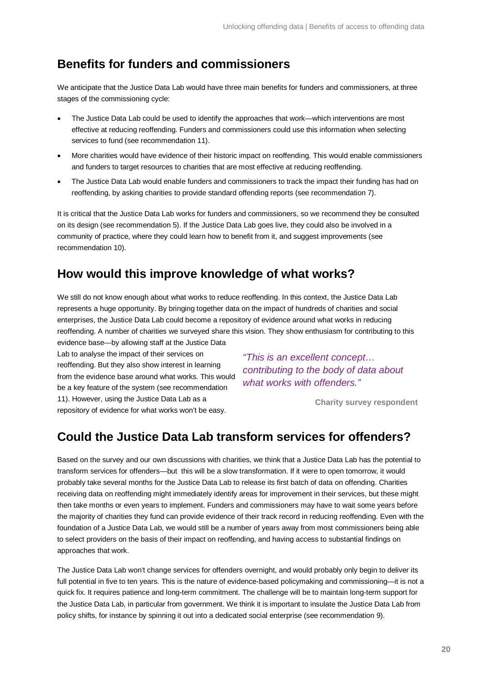### **Benefits for funders and commissioners**

We anticipate that the Justice Data Lab would have three main benefits for funders and commissioners, at three stages of the commissioning cycle:

- The Justice Data Lab could be used to identify the approaches that work—which interventions are most effective at reducing reoffending. Funders and commissioners could use this information when selecting services to fund (see recommendation 11).
- More charities would have evidence of their historic impact on reoffending. This would enable commissioners and funders to target resources to charities that are most effective at reducing reoffending.
- The Justice Data Lab would enable funders and commissioners to track the impact their funding has had on reoffending, by asking charities to provide standard offending reports (see recommendation 7).

It is critical that the Justice Data Lab works for funders and commissioners, so we recommend they be consulted on its design (see recommendation 5). If the Justice Data Lab goes live, they could also be involved in a community of practice, where they could learn how to benefit from it, and suggest improvements (see recommendation 10).

### **How would this improve knowledge of what works?**

We still do not know enough about what works to reduce reoffending. In this context, the Justice Data Lab represents a huge opportunity. By bringing together data on the impact of hundreds of charities and social enterprises, the Justice Data Lab could become a repository of evidence around what works in reducing reoffending. A number of charities we surveyed share this vision. They show enthusiasm for contributing to this evidence base—by allowing staff at the Justice Data

Lab to analyse the impact of their services on reoffending. But they also show interest in learning from the evidence base around what works. This would be a key feature of the system (see recommendation 11). However, using the Justice Data Lab as a repository of evidence for what works won't be easy.

*"This is an excellent concept… contributing to the body of data about what works with offenders."*

**Charity survey respondent**

### **Could the Justice Data Lab transform services for offenders?**

Based on the survey and our own discussions with charities, we think that a Justice Data Lab has the potential to transform services for offenders—but this will be a slow transformation. If it were to open tomorrow, it would probably take several months for the Justice Data Lab to release its first batch of data on offending. Charities receiving data on reoffending might immediately identify areas for improvement in their services, but these might then take months or even years to implement. Funders and commissioners may have to wait some years before the majority of charities they fund can provide evidence of their track record in reducing reoffending. Even with the foundation of a Justice Data Lab, we would still be a number of years away from most commissioners being able to select providers on the basis of their impact on reoffending, and having access to substantial findings on approaches that work.

The Justice Data Lab won't change services for offenders overnight, and would probably only begin to deliver its full potential in five to ten years. This is the nature of evidence-based policymaking and commissioning—it is not a quick fix. It requires patience and long-term commitment. The challenge will be to maintain long-term support for the Justice Data Lab, in particular from government. We think it is important to insulate the Justice Data Lab from policy shifts, for instance by spinning it out into a dedicated social enterprise (see recommendation 9).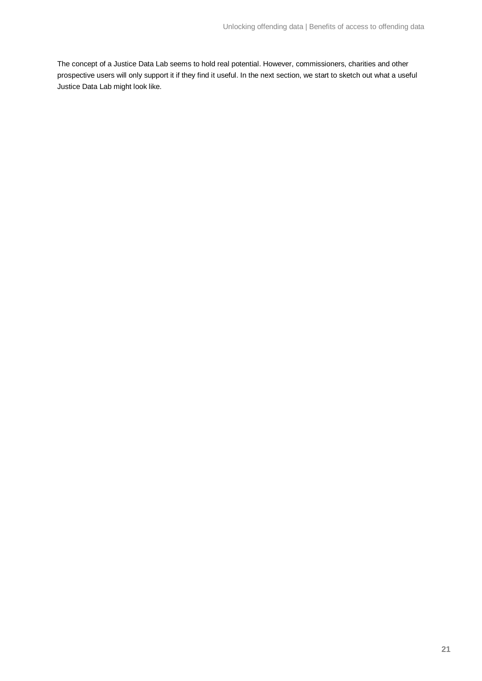The concept of a Justice Data Lab seems to hold real potential. However, commissioners, charities and other prospective users will only support it if they find it useful. In the next section, we start to sketch out what a useful Justice Data Lab might look like.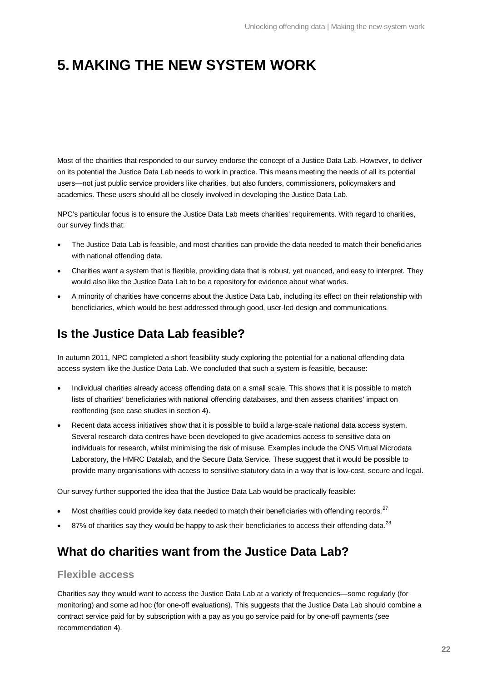# **5. MAKING THE NEW SYSTEM WORK**

Most of the charities that responded to our survey endorse the concept of a Justice Data Lab. However, to deliver on its potential the Justice Data Lab needs to work in practice. This means meeting the needs of all its potential users—not just public service providers like charities, but also funders, commissioners, policymakers and academics. These users should all be closely involved in developing the Justice Data Lab.

NPC's particular focus is to ensure the Justice Data Lab meets charities' requirements. With regard to charities, our survey finds that:

- The Justice Data Lab is feasible, and most charities can provide the data needed to match their beneficiaries with national offending data.
- Charities want a system that is flexible, providing data that is robust, yet nuanced, and easy to interpret. They would also like the Justice Data Lab to be a repository for evidence about what works.
- A minority of charities have concerns about the Justice Data Lab, including its effect on their relationship with beneficiaries, which would be best addressed through good, user-led design and communications.

### **Is the Justice Data Lab feasible?**

In autumn 2011, NPC completed a short feasibility study exploring the potential for a national offending data access system like the Justice Data Lab. We concluded that such a system is feasible, because:

- Individual charities already access offending data on a small scale. This shows that it is possible to match lists of charities' beneficiaries with national offending databases, and then assess charities' impact on reoffending (see case studies in section 4).
- Recent data access initiatives show that it is possible to build a large-scale national data access system. Several research data centres have been developed to give academics access to sensitive data on individuals for research, whilst minimising the risk of misuse. Examples include the ONS Virtual Microdata Laboratory, the HMRC Datalab, and the Secure Data Service. These suggest that it would be possible to provide many organisations with access to sensitive statutory data in a way that is low-cost, secure and legal.

Our survey further supported the idea that the Justice Data Lab would be practically feasible:

- Most charities could provide key data needed to match their beneficiaries with offending records.<sup>[27](#page-32-26)</sup>
- 87% of charities say they would be happy to ask their beneficiaries to access their offending data.<sup>[28](#page-32-27)</sup>

### **What do charities want from the Justice Data Lab?**

#### **Flexible access**

Charities say they would want to access the Justice Data Lab at a variety of frequencies—some regularly (for monitoring) and some ad hoc (for one-off evaluations). This suggests that the Justice Data Lab should combine a contract service paid for by subscription with a pay as you go service paid for by one-off payments (see recommendation 4).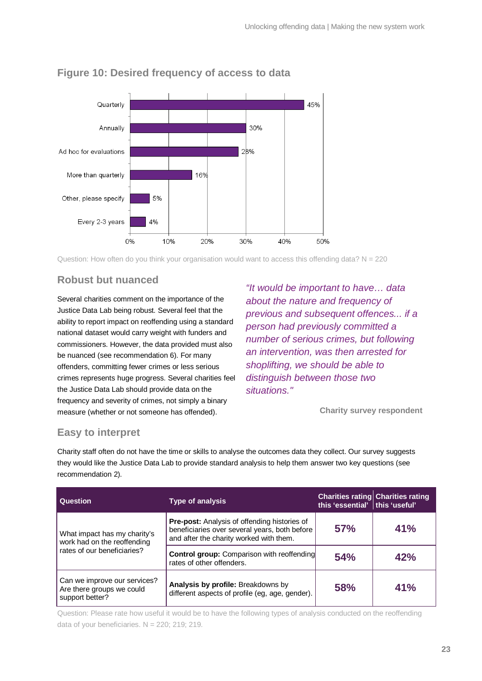

### **Figure 10: Desired frequency of access to data**

Question: How often do you think your organisation would want to access this offending data?  $N = 220$ 

### **Robust but nuanced**

Several charities comment on the importance of the Justice Data Lab being robust. Several feel that the ability to report impact on reoffending using a standard national dataset would carry weight with funders and commissioners. However, the data provided must also be nuanced (see recommendation 6). For many offenders, committing fewer crimes or less serious crimes represents huge progress. Several charities feel the Justice Data Lab should provide data on the frequency and severity of crimes, not simply a binary measure (whether or not someone has offended).

*"It would be important to have… data about the nature and frequency of previous and subsequent offences... if a person had previously committed a number of serious crimes, but following an intervention, was then arrested for shoplifting, we should be able to distinguish between those two situations."* 

**Charity survey respondent**

### **Easy to interpret**

Charity staff often do not have the time or skills to analyse the outcomes data they collect. Our survey suggests they would like the Justice Data Lab to provide standard analysis to help them answer two key questions (see recommendation 2).

| Question                                                                     | <b>Type of analysis</b>                                                                                                                         | this 'essential' this 'useful' | <b>Charities rating Charities rating</b> |
|------------------------------------------------------------------------------|-------------------------------------------------------------------------------------------------------------------------------------------------|--------------------------------|------------------------------------------|
| What impact has my charity's<br>work had on the reoffending                  | <b>Pre-post:</b> Analysis of offending histories of<br>beneficiaries over several years, both before<br>and after the charity worked with them. | 57%                            | 41%                                      |
| rates of our beneficiaries?                                                  | <b>Control group:</b> Comparison with reoffending<br>rates of other offenders.                                                                  | 54%                            | 42%                                      |
| Can we improve our services?<br>Are there groups we could<br>support better? | Analysis by profile: Breakdowns by<br>different aspects of profile (eg, age, gender).                                                           | <b>58%</b>                     | 41%                                      |

Question: Please rate how useful it would be to have the following types of analysis conducted on the reoffending data of your beneficiaries.  $N = 220$ ; 219; 219.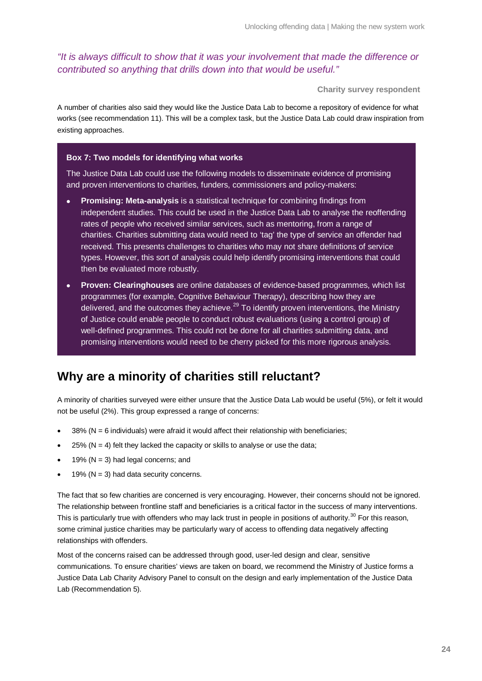*"It is always difficult to show that it was your involvement that made the difference or contributed so anything that drills down into that would be useful."*

**Charity survey respondent**

A number of charities also said they would like the Justice Data Lab to become a repository of evidence for what works (see recommendation 11). This will be a complex task, but the Justice Data Lab could draw inspiration from existing approaches.

#### **Box 7: Two models for identifying what works**

The Justice Data Lab could use the following models to disseminate evidence of promising and proven interventions to charities, funders, commissioners and policy-makers:

- **Promising: Meta-analysis** is a statistical technique for combining findings from independent studies. This could be used in the Justice Data Lab to analyse the reoffending rates of people who received similar services, such as mentoring, from a range of charities. Charities submitting data would need to 'tag' the type of service an offender had received. This presents challenges to charities who may not share definitions of service types. However, this sort of analysis could help identify promising interventions that could then be evaluated more robustly.
- **Proven: Clearinghouses** are online databases of evidence-based programmes, which list programmes (for example, Cognitive Behaviour Therapy), describing how they are delivered, and the outcomes they achieve. $^{29}$  $^{29}$  $^{29}$  To identify proven interventions, the Ministry of Justice could enable people to conduct robust evaluations (using a control group) of well-defined programmes. This could not be done for all charities submitting data, and promising interventions would need to be cherry picked for this more rigorous analysis.

### **Why are a minority of charities still reluctant?**

A minority of charities surveyed were either unsure that the Justice Data Lab would be useful (5%), or felt it would not be useful (2%). This group expressed a range of concerns:

- $38\%$  (N = 6 individuals) were afraid it would affect their relationship with beneficiaries;
- 25% ( $N = 4$ ) felt they lacked the capacity or skills to analyse or use the data;
- 19% ( $N = 3$ ) had legal concerns; and
- 19% ( $N = 3$ ) had data security concerns.

The fact that so few charities are concerned is very encouraging. However, their concerns should not be ignored. The relationship between frontline staff and beneficiaries is a critical factor in the success of many interventions. This is particularly true with offenders who may lack trust in people in positions of authority.<sup>[30](#page-32-29)</sup> For this reason, some criminal justice charities may be particularly wary of access to offending data negatively affecting relationships with offenders.

Most of the concerns raised can be addressed through good, user-led design and clear, sensitive communications. To ensure charities' views are taken on board, we recommend the Ministry of Justice forms a Justice Data Lab Charity Advisory Panel to consult on the design and early implementation of the Justice Data Lab (Recommendation 5).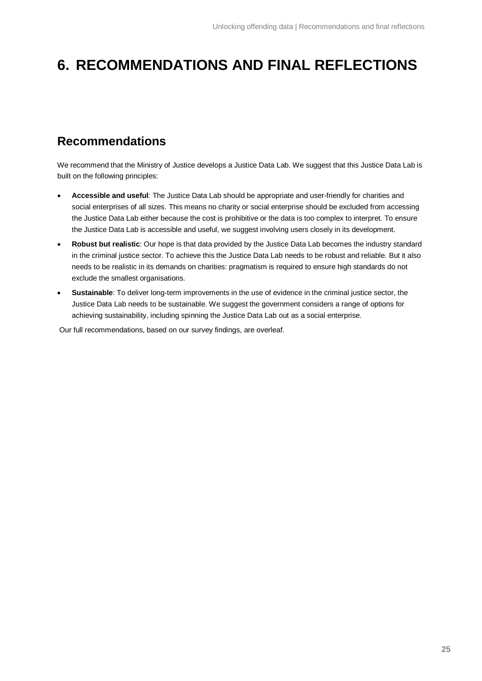# **6. RECOMMENDATIONS AND FINAL REFLECTIONS**

## **Recommendations**

We recommend that the Ministry of Justice develops a Justice Data Lab. We suggest that this Justice Data Lab is built on the following principles:

- **Accessible and useful**: The Justice Data Lab should be appropriate and user-friendly for charities and social enterprises of all sizes. This means no charity or social enterprise should be excluded from accessing the Justice Data Lab either because the cost is prohibitive or the data is too complex to interpret. To ensure the Justice Data Lab is accessible and useful, we suggest involving users closely in its development.
- **Robust but realistic**: Our hope is that data provided by the Justice Data Lab becomes the industry standard in the criminal justice sector. To achieve this the Justice Data Lab needs to be robust and reliable. But it also needs to be realistic in its demands on charities: pragmatism is required to ensure high standards do not exclude the smallest organisations.
- **Sustainable**: To deliver long-term improvements in the use of evidence in the criminal justice sector, the Justice Data Lab needs to be sustainable. We suggest the government considers a range of options for achieving sustainability, including spinning the Justice Data Lab out as a social enterprise.

Our full recommendations, based on our survey findings, are overleaf.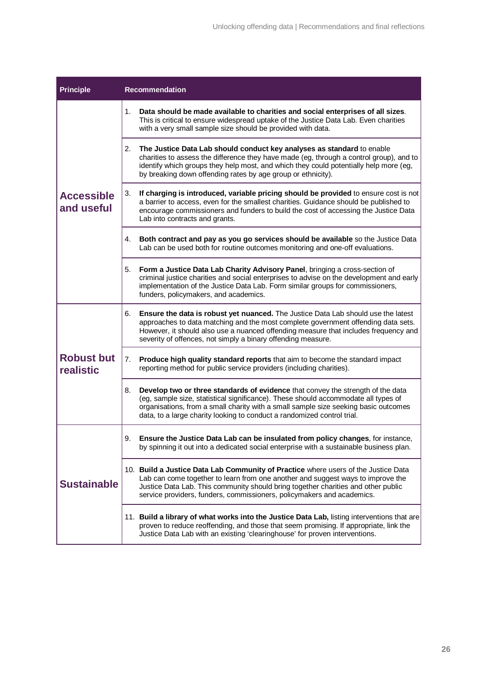| <b>Principle</b>                | <b>Recommendation</b>                                                                                                                                                                                                                                                                                                                         |  |  |  |  |
|---------------------------------|-----------------------------------------------------------------------------------------------------------------------------------------------------------------------------------------------------------------------------------------------------------------------------------------------------------------------------------------------|--|--|--|--|
|                                 | 1.<br>Data should be made available to charities and social enterprises of all sizes.<br>This is critical to ensure widespread uptake of the Justice Data Lab. Even charities<br>with a very small sample size should be provided with data.                                                                                                  |  |  |  |  |
|                                 | The Justice Data Lab should conduct key analyses as standard to enable<br>2.<br>charities to assess the difference they have made (eg, through a control group), and to<br>identify which groups they help most, and which they could potentially help more (eg,<br>by breaking down offending rates by age group or ethnicity).              |  |  |  |  |
| <b>Accessible</b><br>and useful | 3.<br>If charging is introduced, variable pricing should be provided to ensure cost is not<br>a barrier to access, even for the smallest charities. Guidance should be published to<br>encourage commissioners and funders to build the cost of accessing the Justice Data<br>Lab into contracts and grants.                                  |  |  |  |  |
|                                 | Both contract and pay as you go services should be available so the Justice Data<br>4.<br>Lab can be used both for routine outcomes monitoring and one-off evaluations.                                                                                                                                                                       |  |  |  |  |
|                                 | Form a Justice Data Lab Charity Advisory Panel, bringing a cross-section of<br>5.<br>criminal justice charities and social enterprises to advise on the development and early<br>implementation of the Justice Data Lab. Form similar groups for commissioners,<br>funders, policymakers, and academics.                                      |  |  |  |  |
|                                 | Ensure the data is robust yet nuanced. The Justice Data Lab should use the latest<br>6.<br>approaches to data matching and the most complete government offending data sets.<br>However, it should also use a nuanced offending measure that includes frequency and<br>severity of offences, not simply a binary offending measure.           |  |  |  |  |
| <b>Robust but</b><br>realistic  | 7.<br>Produce high quality standard reports that aim to become the standard impact<br>reporting method for public service providers (including charities).                                                                                                                                                                                    |  |  |  |  |
|                                 | 8.<br>Develop two or three standards of evidence that convey the strength of the data<br>(eg, sample size, statistical significance). These should accommodate all types of<br>organisations, from a small charity with a small sample size seeking basic outcomes<br>data, to a large charity looking to conduct a randomized control trial. |  |  |  |  |
|                                 | Ensure the Justice Data Lab can be insulated from policy changes, for instance,<br>9.<br>by spinning it out into a dedicated social enterprise with a sustainable business plan.                                                                                                                                                              |  |  |  |  |
| <b>Sustainable</b>              | 10. Build a Justice Data Lab Community of Practice where users of the Justice Data<br>Lab can come together to learn from one another and suggest ways to improve the<br>Justice Data Lab. This community should bring together charities and other public<br>service providers, funders, commissioners, policymakers and academics.          |  |  |  |  |
|                                 | 11. Build a library of what works into the Justice Data Lab, listing interventions that are<br>proven to reduce reoffending, and those that seem promising. If appropriate, link the<br>Justice Data Lab with an existing 'clearinghouse' for proven interventions.                                                                           |  |  |  |  |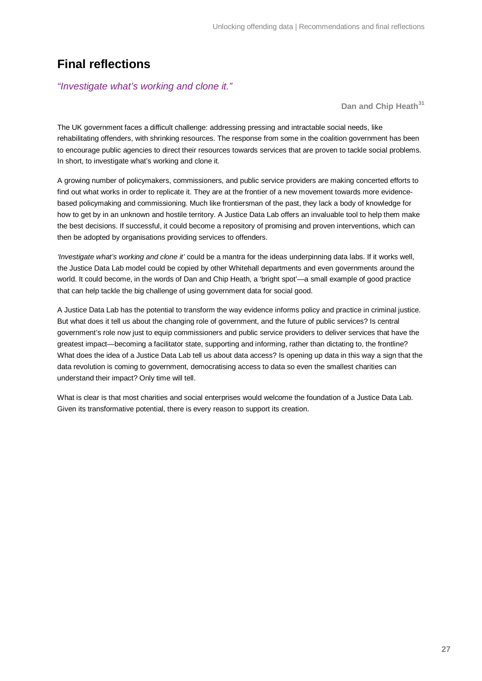### **Final reflections**

#### *"Investigate what's working and clone it."*

**Dan and Chip Heath[31](#page-32-30)**

The UK government faces a difficult challenge: addressing pressing and intractable social needs, like rehabilitating offenders, with shrinking resources. The response from some in the coalition government has been to encourage public agencies to direct their resources towards services that are proven to tackle social problems. In short, to investigate what's working and clone it.

A growing number of policymakers, commissioners, and public service providers are making concerted efforts to find out what works in order to replicate it. They are at the frontier of a new movement towards more evidencebased policymaking and commissioning. Much like frontiersman of the past, they lack a body of knowledge for how to get by in an unknown and hostile territory. A Justice Data Lab offers an invaluable tool to help them make the best decisions. If successful, it could become a repository of promising and proven interventions, which can then be adopted by organisations providing services to offenders.

*'Investigate what's working and clone it'* could be a mantra for the ideas underpinning data labs. If it works well, the Justice Data Lab model could be copied by other Whitehall departments and even governments around the world. It could become, in the words of Dan and Chip Heath, a 'bright spot'—a small example of good practice that can help tackle the big challenge of using government data for social good.

A Justice Data Lab has the potential to transform the way evidence informs policy and practice in criminal justice. But what does it tell us about the changing role of government, and the future of public services? Is central government's role now just to equip commissioners and public service providers to deliver services that have the greatest impact—becoming a facilitator state, supporting and informing, rather than dictating to, the frontline? What does the idea of a Justice Data Lab tell us about data access? Is opening up data in this way a sign that the data revolution is coming to government, democratising access to data so even the smallest charities can understand their impact? Only time will tell.

What is clear is that most charities and social enterprises would welcome the foundation of a Justice Data Lab. Given its transformative potential, there is every reason to support its creation.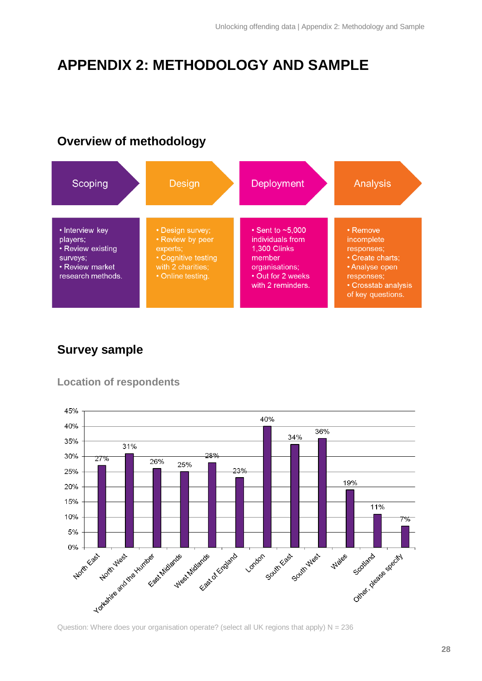# **APPENDIX 2: METHODOLOGY AND SAMPLE**

### **Overview of methodology**



## **Survey sample**

### **Location of respondents**

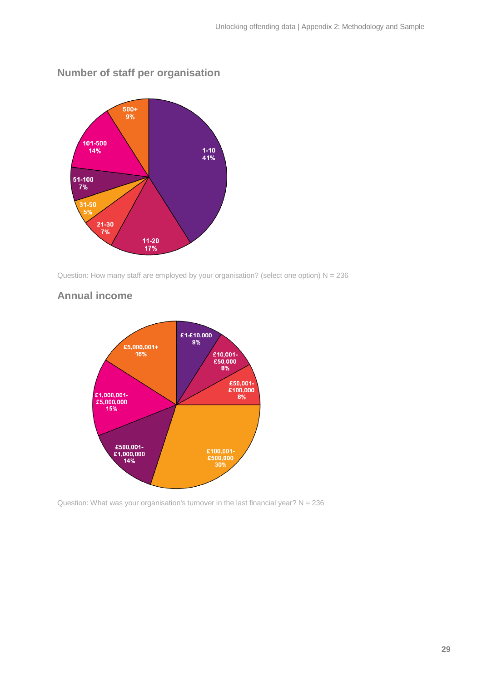

### **Number of staff per organisation**

Question: How many staff are employed by your organisation? (select one option)  $N = 236$ 

### **Annual income**



Question: What was your organisation's turnover in the last financial year?  $N = 236$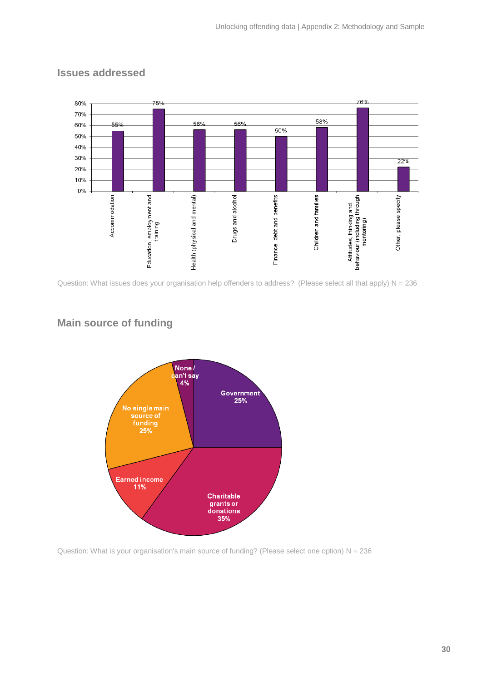

### **Issues addressed**

Question: What issues does your organisation help offenders to address? (Please select all that apply) N = 236

### **Main source of funding**



Question: What is your organisation's main source of funding? (Please select one option)  $N = 236$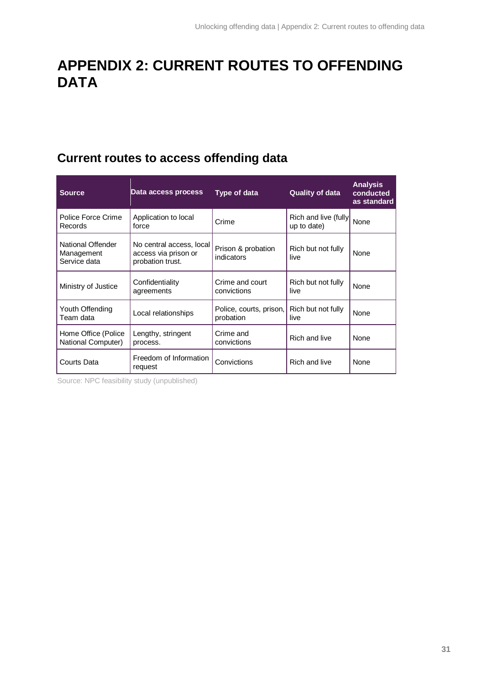# **APPENDIX 2: CURRENT ROUTES TO OFFENDING DATA**

# **Current routes to access offending data**

| <b>Source</b>                                   | Data access process                                                  | Type of data                         | <b>Quality of data</b>               | <b>Analysis</b><br>conducted<br>as standard |
|-------------------------------------------------|----------------------------------------------------------------------|--------------------------------------|--------------------------------------|---------------------------------------------|
| Police Force Crime<br>Records                   | Application to local<br>force                                        | Crime                                | Rich and live (fully)<br>up to date) | None                                        |
| National Offender<br>Management<br>Service data | No central access, local<br>access via prison or<br>probation trust. | Prison & probation<br>indicators     | Rich but not fully<br>live           | None                                        |
| Ministry of Justice                             | Confidentiality<br>agreements                                        | Crime and court<br>convictions       | Rich but not fully<br>live           | <b>None</b>                                 |
| Youth Offending<br>Team data                    | Local relationships                                                  | Police, courts, prison,<br>probation | Rich but not fully<br>live           | None                                        |
| Home Office (Police<br>National Computer)       | Lengthy, stringent<br>process.                                       | Crime and<br>convictions             | Rich and live                        | None                                        |
| Courts Data                                     | Freedom of Information<br>request                                    | Convictions                          | Rich and live                        | None                                        |

Source: NPC feasibility study (unpublished)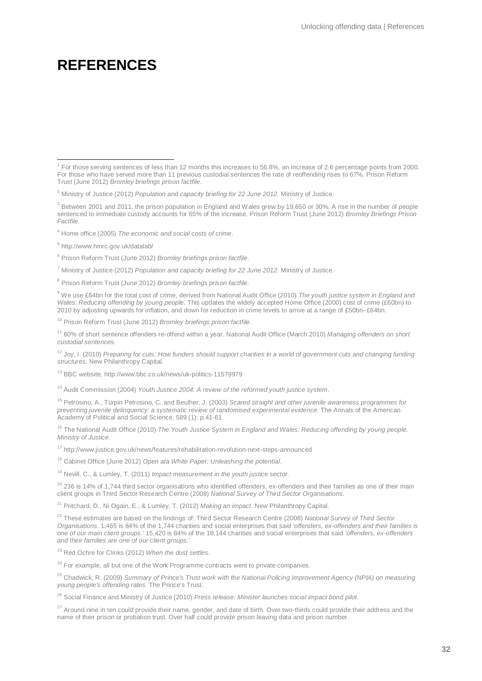# **REFERENCES**

<sup>4</sup> Home office (2005) *The economic and social costs of crime*.

<sup>5</sup> http://www.hmrc.gov.uk/datalab/

<sup>6</sup> Prison Reform Trust (June 2012) *Bromley briefings prison factfile*.

<sup>7</sup> Ministry of Justice (2012) *Population and capacity briefing for 22 June 2012*. Ministry of Justice.

<sup>8</sup> Prison Reform Trust (June 2012) *Bromley briefings prison factfile*.

<sup>9</sup> We use £64bn for the total cost of crime, derived from National Audit Office (2010) *The youth justice system in England and Wales: Reducing offending by young people*. This updates the widely accepted Home Office (2000) cost of crime (£60bn) to 2010 by adjusting upwards for inflation, and down for reduction in crime levels to arrive at a range of £50bn–£64bn.

<sup>10</sup> Prison Reform Trust (June 2012) *Bromley briefings prison factfile*.

<sup>11</sup> 60% of short sentence offenders re-offend within a year. National Audit Office (March 2010) *Managing offenders on short custodial sentences.*

<sup>12</sup> Joy, I. (2010) *Preparing for cuts: How funders should support charities in a world of government cuts and changing funding structures.* New Philanthropy Capital.

<sup>13</sup> BBC website, http://www.bbc.co.uk/news/uk-politics-11579979

<sup>14</sup> Audit Commission (2004) *Youth Justice 2004: A review of the reformed youth justice system*.

<sup>15</sup> Petrosino, A., Turpin Petrosino, C. and Beulher, J. (2003) *Scared straight and other juvenile awareness programmes for preventing juvenile delinquency: a systematic review of randomised experimental evidence.* The Annals of the American Academy of Political and Social Science, 589 (1): p.41-61.

<sup>16</sup> The National Audit Office (2010) *The Youth Justice System in England and Wales: Reducing offending by young people. Ministry of Justice.*

<sup>17</sup> http://www.justice.gov.uk/news/features/rehabilitation-revolution-next-steps-announced

<sup>18</sup> Cabinet Office (June 2012) *Open ata White Paper: Unleashing the potential*.

<sup>19</sup> Nevill, C., & Lumley, T. (2011) *Impact measurement in the youth justice sector.*

 $^{20}$  236 is 14% of 1.744 third sector organisations who identified offenders, ex-offenders and their families as one of their main client groups in Third Sector Research Centre (2008) *National Survey of Third Sector Organisations*.

<sup>21</sup> Pritchard, D., Ni Ogain, E., & Lumley, T. (2012) *Making an impact*. New Philanthropy Capital.

<sup>22</sup> These estimates are based on the findings of: Third Sector Research Centre (2008) *National Survey of Third Sector Organisations*. 1,465 is 84% of the 1,744 charities and social enterprises that *said 'offenders, ex-offenders and their families is one of our main client groups.'* 15,420 is 84% of the 18,144 charities and social enterprises that said *'offenders, ex-offenders and their families are one of our client groups.'*

<sup>23</sup> Red Ochre for Clinks (2012) *When the dust settles*.

 $24$  For example, all but one of the Work Programme contracts went to private companies.

<sup>25</sup> Chadwick, R. (2009) *Summary of Prince's Trust work with the National Policing Improvement Agency (NPIA) on measuring young people's offending rates.* The Prince's Trust.

<sup>26</sup> Social Finance and Ministry of Justice (2010) *Press release: Minister launches social impact bond pilot*.

 $27$  Around nine in ten could provide their name, gender, and date of birth. Over two-thirds could provide their address and the name of their prison or probation trust. Over half could provide prison leaving data and prison number.

 <sup>1</sup> For those serving sentences of less than 12 months this increases to 56.8%, an increase of 2.6 percentage points from 2000. For those who have served more than 11 previous custodial sentences the rate of reoffending rises to 67%. Prison Reform Trust (June 2012) *Bromley briefings prison factfile*.

<sup>2</sup> Ministry of Justice (2012) *Population and capacity briefing for 22 June 2012.* Ministry of Justice.

 $3$  Between 2001 and 2011, the prison population in England and Wales grew by 19,650 or 30%. A rise in the number of people sentenced to immediate custody accounts for 65% of the increase. Prison Reform Trust (June 2012) *Bromley Briefings Prison Factfile.*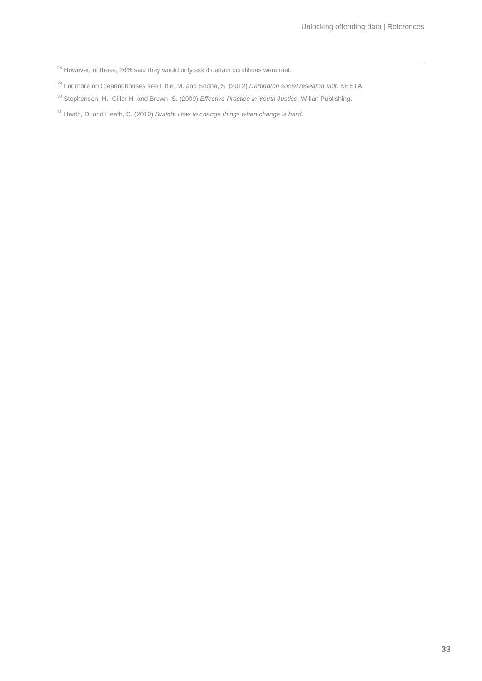<span id="page-32-27"></span><sup>28</sup> However, of these, 26% said they would only ask if certain conditions were met.

<span id="page-32-28"></span>For more on Clearinghouses see Little, M. and Sodha, S. (2012) *Dartington social research unit.* NESTA.

<span id="page-32-29"></span>Stephenson, H., Giller H. and Brown, S. (2009) *Effective Practice in Youth Justice*. Willan Publishing.

<span id="page-32-30"></span><span id="page-32-26"></span><span id="page-32-25"></span><span id="page-32-24"></span><span id="page-32-23"></span><span id="page-32-22"></span><span id="page-32-21"></span><span id="page-32-20"></span><span id="page-32-19"></span><span id="page-32-18"></span><span id="page-32-17"></span><span id="page-32-16"></span><span id="page-32-15"></span><span id="page-32-14"></span><span id="page-32-13"></span><span id="page-32-12"></span><span id="page-32-11"></span><span id="page-32-10"></span><span id="page-32-9"></span><span id="page-32-8"></span><span id="page-32-7"></span><span id="page-32-6"></span><span id="page-32-5"></span><span id="page-32-4"></span><span id="page-32-3"></span><span id="page-32-2"></span><span id="page-32-1"></span><span id="page-32-0"></span>Heath, D. and Heath, C. (2010) *Switch: How to change things when change is hard*.